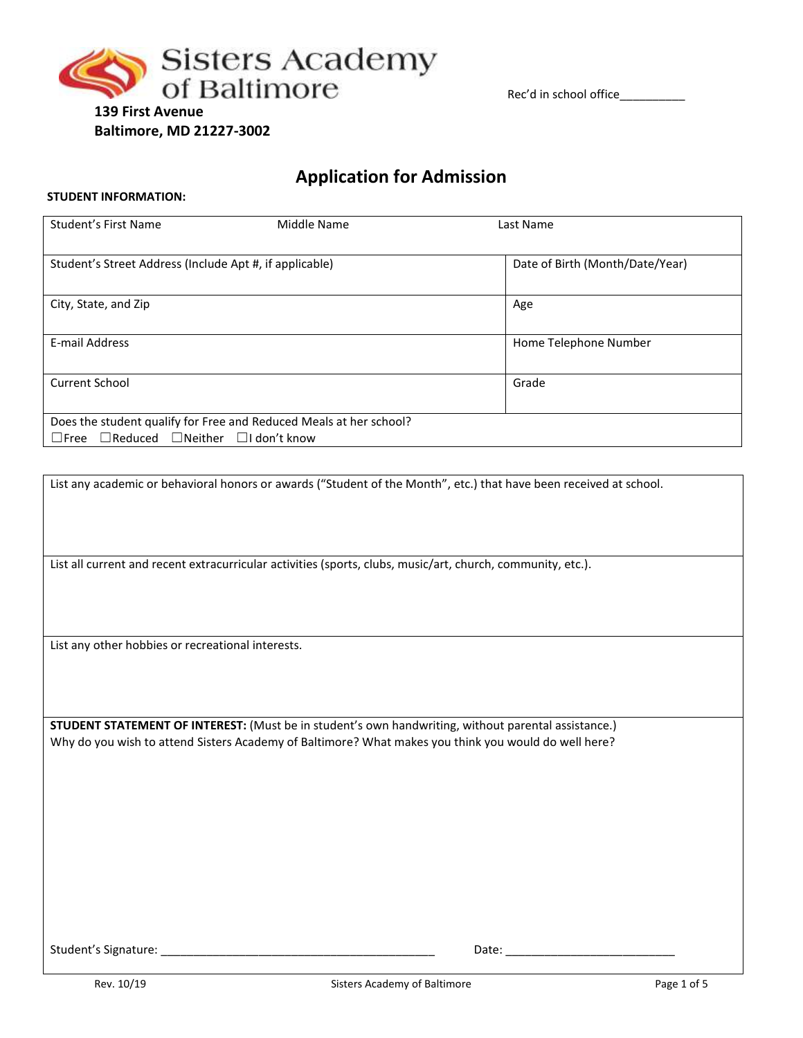

Rec'd in school office\_\_\_\_\_\_\_\_\_\_\_\_

# **139 First Avenue Baltimore, MD 21227-3002**

# **Application for Admission**

# **STUDENT INFORMATION:**

| Student's First Name                                          | Middle Name                                                        | Last Name                       |
|---------------------------------------------------------------|--------------------------------------------------------------------|---------------------------------|
|                                                               |                                                                    |                                 |
| Student's Street Address (Include Apt #, if applicable)       |                                                                    | Date of Birth (Month/Date/Year) |
|                                                               |                                                                    |                                 |
| City, State, and Zip                                          |                                                                    | Age                             |
|                                                               |                                                                    |                                 |
| E-mail Address                                                |                                                                    | Home Telephone Number           |
|                                                               |                                                                    |                                 |
| <b>Current School</b>                                         |                                                                    | Grade                           |
|                                                               |                                                                    |                                 |
|                                                               | Does the student qualify for Free and Reduced Meals at her school? |                                 |
| $\Box$ Free $\Box$ Reduced $\Box$ Neither $\Box$ I don't know |                                                                    |                                 |

| List any academic or behavioral honors or awards ("Student of the Month", etc.) that have been received at school. |  |  |  |
|--------------------------------------------------------------------------------------------------------------------|--|--|--|
|                                                                                                                    |  |  |  |
|                                                                                                                    |  |  |  |
| List all current and recent extracurricular activities (sports, clubs, music/art, church, community, etc.).        |  |  |  |
|                                                                                                                    |  |  |  |
|                                                                                                                    |  |  |  |
| List any other hobbies or recreational interests.                                                                  |  |  |  |
|                                                                                                                    |  |  |  |
|                                                                                                                    |  |  |  |
| STUDENT STATEMENT OF INTEREST: (Must be in student's own handwriting, without parental assistance.)                |  |  |  |
| Why do you wish to attend Sisters Academy of Baltimore? What makes you think you would do well here?               |  |  |  |
|                                                                                                                    |  |  |  |
|                                                                                                                    |  |  |  |
|                                                                                                                    |  |  |  |
|                                                                                                                    |  |  |  |
|                                                                                                                    |  |  |  |
|                                                                                                                    |  |  |  |
|                                                                                                                    |  |  |  |
| Student's Signature:<br>Date:                                                                                      |  |  |  |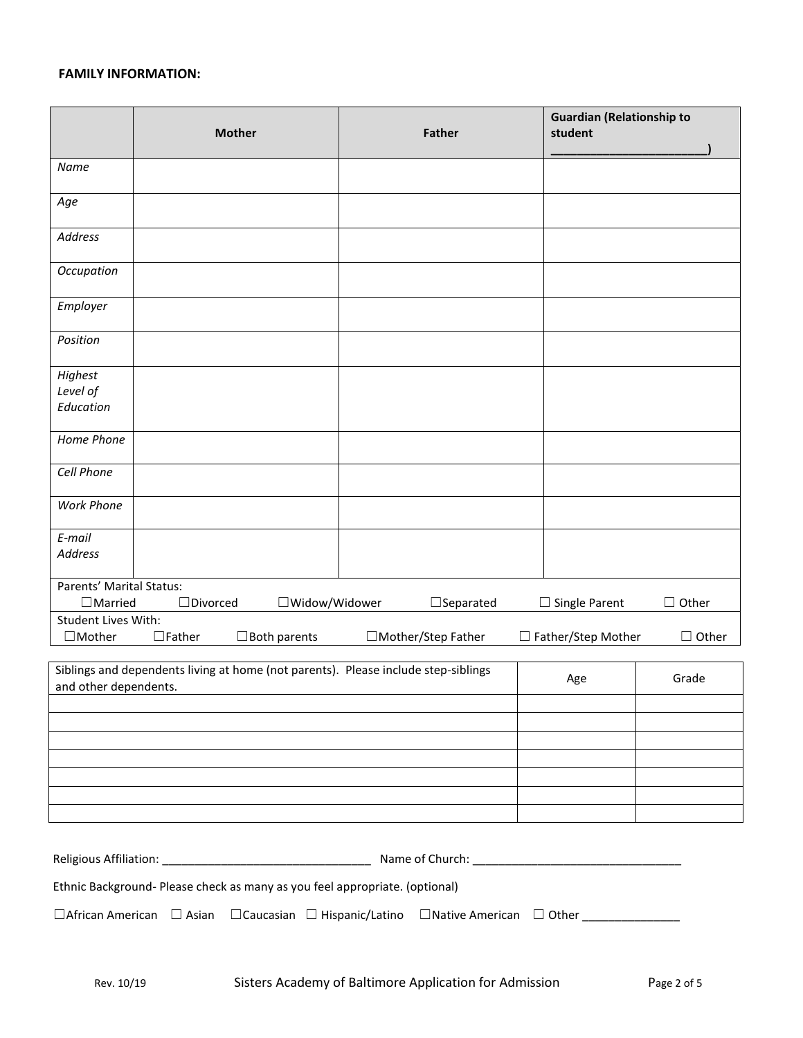# **FAMILY INFORMATION:**

|                                                                                                             | <b>Mother</b>                                                               |                     | <b>Father</b>    | <b>Guardian (Relationship to</b><br>student |              |
|-------------------------------------------------------------------------------------------------------------|-----------------------------------------------------------------------------|---------------------|------------------|---------------------------------------------|--------------|
| Name                                                                                                        |                                                                             |                     |                  |                                             |              |
| Age                                                                                                         |                                                                             |                     |                  |                                             |              |
| Address                                                                                                     |                                                                             |                     |                  |                                             |              |
| Occupation                                                                                                  |                                                                             |                     |                  |                                             |              |
| Employer                                                                                                    |                                                                             |                     |                  |                                             |              |
| Position                                                                                                    |                                                                             |                     |                  |                                             |              |
| Highest                                                                                                     |                                                                             |                     |                  |                                             |              |
| Level of                                                                                                    |                                                                             |                     |                  |                                             |              |
| Education                                                                                                   |                                                                             |                     |                  |                                             |              |
| Home Phone                                                                                                  |                                                                             |                     |                  |                                             |              |
| Cell Phone                                                                                                  |                                                                             |                     |                  |                                             |              |
| <b>Work Phone</b>                                                                                           |                                                                             |                     |                  |                                             |              |
| E-mail<br><b>Address</b>                                                                                    |                                                                             |                     |                  |                                             |              |
| Parents' Marital Status:<br>$\Box$ Married                                                                  | $\Box$ Divorced<br>□Widow/Widower                                           |                     | $\Box$ Separated | Single Parent<br>ப                          | $\Box$ Other |
| <b>Student Lives With:</b>                                                                                  |                                                                             |                     |                  |                                             |              |
| $\Box$ Mother                                                                                               | $\Box$ Father<br>$\Box$ Both parents                                        | □Mother/Step Father |                  | □ Father/Step Mother                        | $\Box$ Other |
| Siblings and dependents living at home (not parents). Please include step-siblings<br>and other dependents. |                                                                             |                     |                  | Grade<br>Age                                |              |
|                                                                                                             |                                                                             |                     |                  |                                             |              |
|                                                                                                             |                                                                             |                     |                  |                                             |              |
|                                                                                                             |                                                                             |                     |                  |                                             |              |
|                                                                                                             |                                                                             |                     |                  |                                             |              |
|                                                                                                             |                                                                             |                     |                  |                                             |              |
|                                                                                                             |                                                                             |                     |                  |                                             |              |
|                                                                                                             | Ethnic Background- Please check as many as you feel appropriate. (optional) |                     |                  |                                             |              |
|                                                                                                             |                                                                             |                     |                  |                                             |              |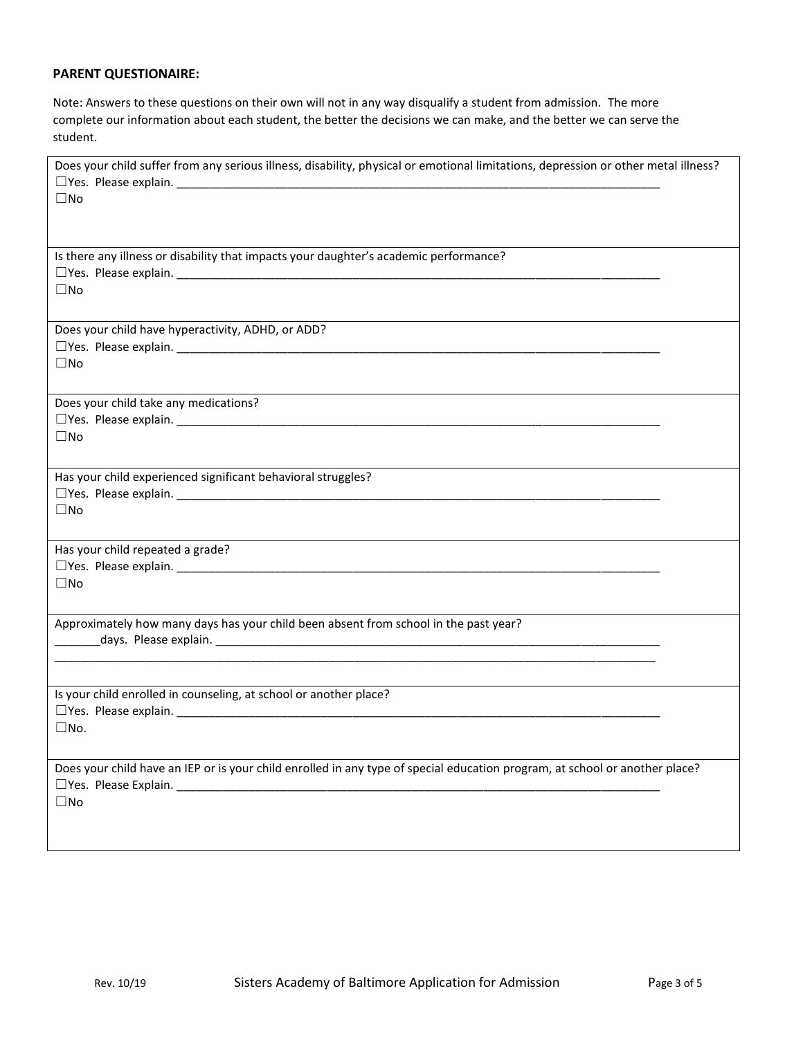# **PARENT QUESTIONAIRE:**

Note: Answers to these questions on their own will not in any way disqualify a student from admission. The more complete our information about each student, the better the decisions we can make, and the better we can serve the student.

| Does your child suffer from any serious illness, disability, physical or emotional limitations, depression or other metal illness?<br>$\square$ No |
|----------------------------------------------------------------------------------------------------------------------------------------------------|
| Is there any illness or disability that impacts your daughter's academic performance?<br>$\square$ No                                              |
| Does your child have hyperactivity, ADHD, or ADD?<br>$\square$ No                                                                                  |
| Does your child take any medications?<br>$\square$ No                                                                                              |
| Has your child experienced significant behavioral struggles?<br>$\square$ No                                                                       |
| Has your child repeated a grade?<br>$\square$ No                                                                                                   |
| Approximately how many days has your child been absent from school in the past year?                                                               |
| Is your child enrolled in counseling, at school or another place?<br>$\square$ No.                                                                 |
| Does your child have an IEP or is your child enrolled in any type of special education program, at school or another place?<br>$\Box$ No           |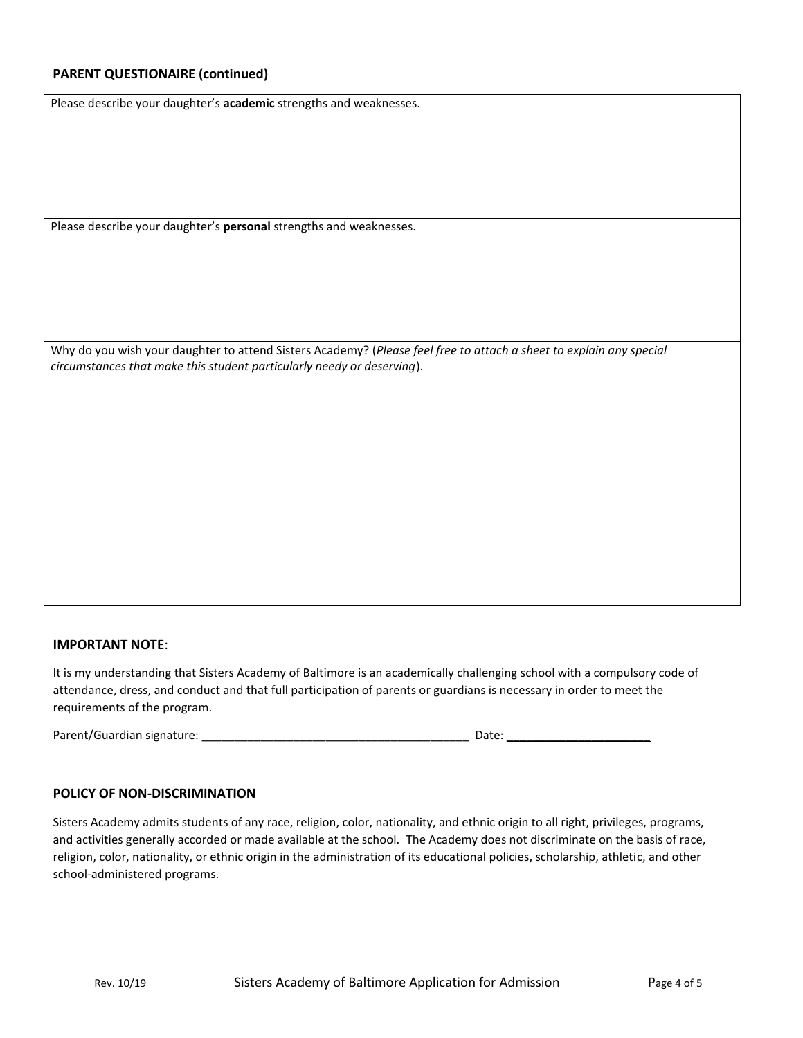# **PARENT QUESTIONAIRE (continued)**

Please describe your daughter's **academic** strengths and weaknesses.

Please describe your daughter's **personal** strengths and weaknesses.

Why do you wish your daughter to attend Sisters Academy? (*Please feel free to attach a sheet to explain any special circumstances that make this student particularly needy or deserving*).

#### **IMPORTANT NOTE**:

It is my understanding that Sisters Academy of Baltimore is an academically challenging school with a compulsory code of attendance, dress, and conduct and that full participation of parents or guardians is necessary in order to meet the requirements of the program.

Parent/Guardian signature: \_\_\_\_\_\_\_\_\_\_\_\_\_\_\_\_\_\_\_\_\_\_\_\_\_\_\_\_\_\_\_\_\_\_\_\_\_\_\_\_\_ Date: \_\_\_\_\_\_\_\_\_\_\_\_\_\_\_\_\_\_\_\_\_\_

# **POLICY OF NON-DISCRIMINATION**

Sisters Academy admits students of any race, religion, color, nationality, and ethnic origin to all right, privileges, programs, and activities generally accorded or made available at the school. The Academy does not discriminate on the basis of race, religion, color, nationality, or ethnic origin in the administration of its educational policies, scholarship, athletic, and other school-administered programs.